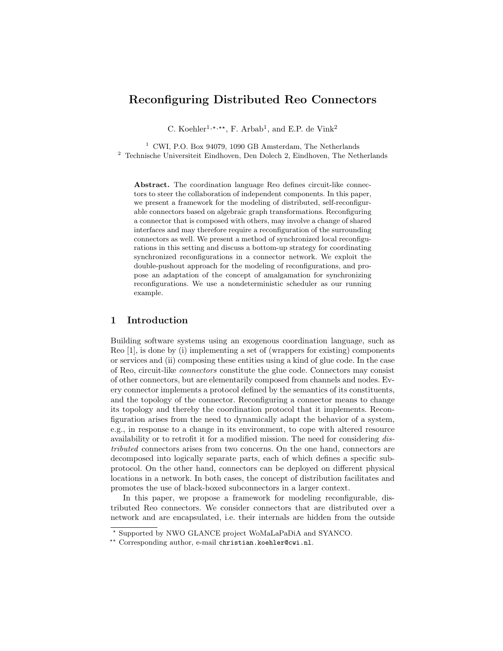# Reconfiguring Distributed Reo Connectors

C. Koehler<sup>1,\*,\*\*</sup>, F. Arbab<sup>1</sup>, and E.P. de Vink<sup>2</sup>

<sup>1</sup> CWI, P.O. Box 94079, 1090 GB Amsterdam, The Netherlands <sup>2</sup> Technische Universiteit Eindhoven, Den Dolech 2, Eindhoven, The Netherlands

Abstract. The coordination language Reo defines circuit-like connectors to steer the collaboration of independent components. In this paper, we present a framework for the modeling of distributed, self-reconfigurable connectors based on algebraic graph transformations. Reconfiguring a connector that is composed with others, may involve a change of shared interfaces and may therefore require a reconfiguration of the surrounding connectors as well. We present a method of synchronized local reconfigurations in this setting and discuss a bottom-up strategy for coordinating synchronized reconfigurations in a connector network. We exploit the double-pushout approach for the modeling of reconfigurations, and propose an adaptation of the concept of amalgamation for synchronizing reconfigurations. We use a nondeterministic scheduler as our running example.

# 1 Introduction

Building software systems using an exogenous coordination language, such as Reo [1], is done by (i) implementing a set of (wrappers for existing) components or services and (ii) composing these entities using a kind of glue code. In the case of Reo, circuit-like connectors constitute the glue code. Connectors may consist of other connectors, but are elementarily composed from channels and nodes. Every connector implements a protocol defined by the semantics of its constituents, and the topology of the connector. Reconfiguring a connector means to change its topology and thereby the coordination protocol that it implements. Reconfiguration arises from the need to dynamically adapt the behavior of a system, e.g., in response to a change in its environment, to cope with altered resource availability or to retrofit it for a modified mission. The need for considering distributed connectors arises from two concerns. On the one hand, connectors are decomposed into logically separate parts, each of which defines a specific subprotocol. On the other hand, connectors can be deployed on different physical locations in a network. In both cases, the concept of distribution facilitates and promotes the use of black-boxed subconnectors in a larger context.

In this paper, we propose a framework for modeling reconfigurable, distributed Reo connectors. We consider connectors that are distributed over a network and are encapsulated, i.e. their internals are hidden from the outside

<sup>?</sup> Supported by NWO GLANCE project WoMaLaPaDiA and SYANCO.

<sup>\*\*</sup> Corresponding author, e-mail christian.koehler@cwi.nl.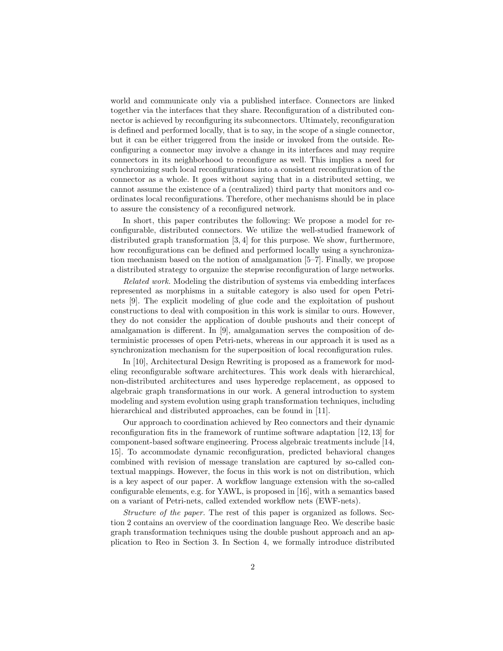world and communicate only via a published interface. Connectors are linked together via the interfaces that they share. Reconfiguration of a distributed connector is achieved by reconfiguring its subconnectors. Ultimately, reconfiguration is defined and performed locally, that is to say, in the scope of a single connector, but it can be either triggered from the inside or invoked from the outside. Reconfiguring a connector may involve a change in its interfaces and may require connectors in its neighborhood to reconfigure as well. This implies a need for synchronizing such local reconfigurations into a consistent reconfiguration of the connector as a whole. It goes without saying that in a distributed setting, we cannot assume the existence of a (centralized) third party that monitors and coordinates local reconfigurations. Therefore, other mechanisms should be in place to assure the consistency of a reconfigured network.

In short, this paper contributes the following: We propose a model for reconfigurable, distributed connectors. We utilize the well-studied framework of distributed graph transformation [3, 4] for this purpose. We show, furthermore, how reconfigurations can be defined and performed locally using a synchronization mechanism based on the notion of amalgamation [5–7]. Finally, we propose a distributed strategy to organize the stepwise reconfiguration of large networks.

Related work. Modeling the distribution of systems via embedding interfaces represented as morphisms in a suitable category is also used for open Petrinets [9]. The explicit modeling of glue code and the exploitation of pushout constructions to deal with composition in this work is similar to ours. However, they do not consider the application of double pushouts and their concept of amalgamation is different. In [9], amalgamation serves the composition of deterministic processes of open Petri-nets, whereas in our approach it is used as a synchronization mechanism for the superposition of local reconfiguration rules.

In [10], Architectural Design Rewriting is proposed as a framework for modeling reconfigurable software architectures. This work deals with hierarchical, non-distributed architectures and uses hyperedge replacement, as opposed to algebraic graph transformations in our work. A general introduction to system modeling and system evolution using graph transformation techniques, including hierarchical and distributed approaches, can be found in [11].

Our approach to coordination achieved by Reo connectors and their dynamic reconfiguration fits in the framework of runtime software adaptation [12, 13] for component-based software engineering. Process algebraic treatments include [14, 15]. To accommodate dynamic reconfiguration, predicted behavioral changes combined with revision of message translation are captured by so-called contextual mappings. However, the focus in this work is not on distribution, which is a key aspect of our paper. A workflow language extension with the so-called configurable elements, e.g. for YAWL, is proposed in [16], with a semantics based on a variant of Petri-nets, called extended workflow nets (EWF-nets).

Structure of the paper. The rest of this paper is organized as follows. Section 2 contains an overview of the coordination language Reo. We describe basic graph transformation techniques using the double pushout approach and an application to Reo in Section 3. In Section 4, we formally introduce distributed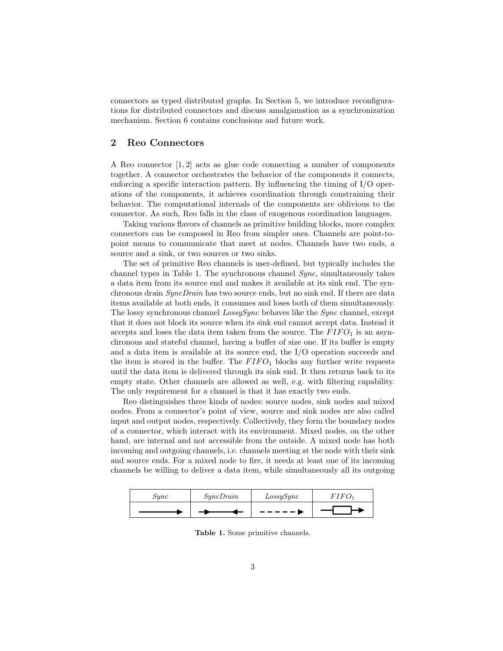connectors as typed distributed graphs. In Section 5, we introduce reconfigurations for distributed connectors and discuss amalgamation as a synchronization mechanism. Section 6 contains conclusions and future work.

# 2 Reo Connectors

A Reo connector [1, 2] acts as glue code connecting a number of components together. A connector orchestrates the behavior of the components it connects, enforcing a specific interaction pattern. By influencing the timing of I/O operations of the components, it achieves coordination through constraining their behavior. The computational internals of the components are oblivious to the connector. As such, Reo falls in the class of exogenous coordination languages.

Taking various flavors of channels as primitive building blocks, more complex connectors can be composed in Reo from simpler ones. Channels are point-topoint means to communicate that meet at nodes. Channels have two ends, a source and a sink, or two sources or two sinks.

The set of primitive Reo channels is user-defined, but typically includes the channel types in Table 1. The synchronous channel Sync, simultaneously takes a data item from its source end and makes it available at its sink end. The synchronous drain SyncDrain has two source ends, but no sink end. If there are data items available at both ends, it consumes and loses both of them simultaneously. The lossy synchronous channel LossySync behaves like the Sync channel, except that it does not block its source when its sink end cannot accept data. Instead it accepts and loses the data item taken from the source. The  $FIFO_1$  is an asynchronous and stateful channel, having a buffer of size one. If its buffer is empty and a data item is available at its source end, the I/O operation succeeds and the item is stored in the buffer. The  $FIFO<sub>1</sub>$  blocks any further write requests until the data item is delivered through its sink end. It then returns back to its empty state. Other channels are allowed as well, e.g. with filtering capability. The only requirement for a channel is that it has exactly two ends.

Reo distinguishes three kinds of nodes: source nodes, sink nodes and mixed nodes. From a connector's point of view, source and sink nodes are also called input and output nodes, respectively. Collectively, they form the boundary nodes of a connector, which interact with its environment. Mixed nodes, on the other hand, are internal and not accessible from the outside. A mixed node has both incoming and outgoing channels, i.e. channels meeting at the node with their sink and source ends. For a mixed node to fire, it needs at least one of its incoming channels be willing to deliver a data item, while simultaneously all its outgoing

| Sync | SyncDrain | LossySync      | - 21 H T |
|------|-----------|----------------|----------|
|      |           | ----- <b>L</b> |          |

Table 1. Some primitive channels.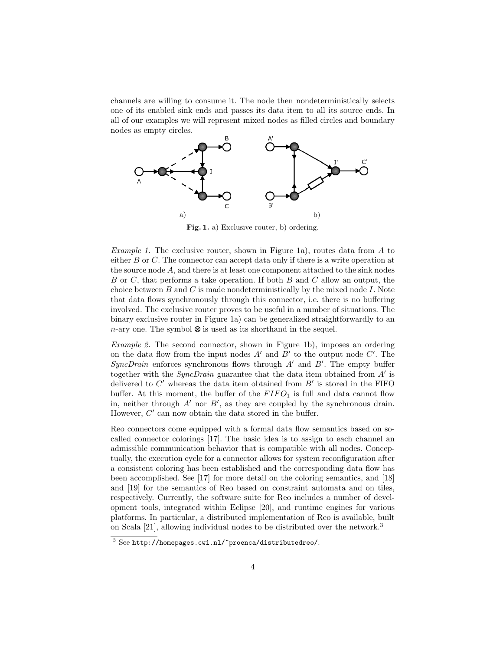channels are willing to consume it. The node then nondeterministically selects one of its enabled sink ends and passes its data item to all its source ends. In all of our examples we will represent mixed nodes as filled circles and boundary nodes as empty circles.



Fig. 1. a) Exclusive router, b) ordering.

Example 1. The exclusive router, shown in Figure 1a), routes data from A to either B or C. The connector can accept data only if there is a write operation at the source node A, and there is at least one component attached to the sink nodes B or C, that performs a take operation. If both B and C allow an output, the choice between  $B$  and  $C$  is made nondeterministically by the mixed node  $I$ . Note that data flows synchronously through this connector, i.e. there is no buffering involved. The exclusive router proves to be useful in a number of situations. The binary exclusive router in Figure 1a) can be generalized straightforwardly to an  $n$ -ary one. The symbol  $\otimes$  is used as its shorthand in the sequel.

Example 2. The second connector, shown in Figure 1b), imposes an ordering on the data flow from the input nodes  $A'$  and  $B'$  to the output node  $C'$ . The  $SyncDrain$  enforces synchronous flows through  $A'$  and  $B'$ . The empty buffer together with the  $SyncDrain$  guarantee that the data item obtained from  $A'$  is delivered to  $C'$  whereas the data item obtained from  $B'$  is stored in the FIFO buffer. At this moment, the buffer of the  $FIFO_1$  is full and data cannot flow in, neither through  $A'$  nor  $B'$ , as they are coupled by the synchronous drain. However,  $C'$  can now obtain the data stored in the buffer.

Reo connectors come equipped with a formal data flow semantics based on socalled connector colorings [17]. The basic idea is to assign to each channel an admissible communication behavior that is compatible with all nodes. Conceptually, the execution cycle for a connector allows for system reconfiguration after a consistent coloring has been established and the corresponding data flow has been accomplished. See [17] for more detail on the coloring semantics, and [18] and [19] for the semantics of Reo based on constraint automata and on tiles, respectively. Currently, the software suite for Reo includes a number of development tools, integrated within Eclipse [20], and runtime engines for various platforms. In particular, a distributed implementation of Reo is available, built on Scala [21], allowing individual nodes to be distributed over the network.<sup>3</sup>

 $^3$  See http://homepages.cwi.nl/~proenca/distributedreo/.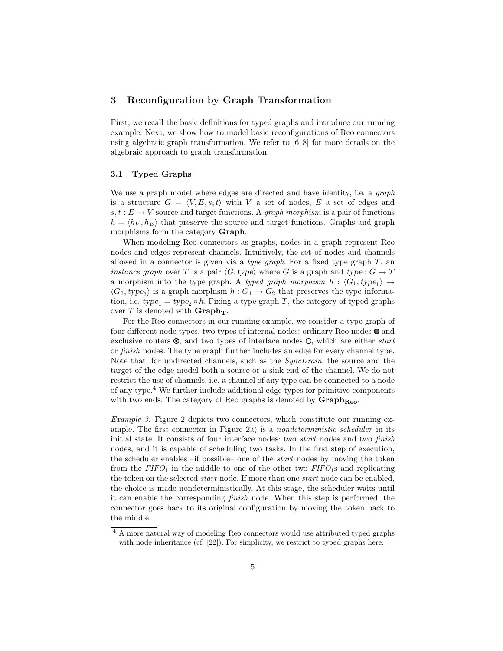## 3 Reconfiguration by Graph Transformation

First, we recall the basic definitions for typed graphs and introduce our running example. Next, we show how to model basic reconfigurations of Reo connectors using algebraic graph transformation. We refer to  $[6, 8]$  for more details on the algebraic approach to graph transformation.

## 3.1 Typed Graphs

We use a graph model where edges are directed and have identity, i.e. a *graph* is a structure  $G = \langle V, E, s, t \rangle$  with V a set of nodes, E a set of edges and  $s, t : E \to V$  source and target functions. A *graph morphism* is a pair of functions  $h = \langle h_V, h_E \rangle$  that preserve the source and target functions. Graphs and graph morphisms form the category Graph.

When modeling Reo connectors as graphs, nodes in a graph represent Reo nodes and edges represent channels. Intuitively, the set of nodes and channels allowed in a connector is given via a *type graph*. For a fixed type graph  $T$ , an instance graph over T is a pair  $\langle G, type \rangle$  where G is a graph and type :  $G \to T$ a morphism into the type graph. A *typed graph morphism*  $h: \langle G_1, type_1 \rangle \rightarrow$  $\langle G_2, type_2 \rangle$  is a graph morphism  $h : G_1 \to G_2$  that preserves the type information, i.e. type<sub>1</sub> = type<sub>2</sub> ∘ h. Fixing a type graph T, the category of typed graphs over T is denoted with  $Graph_T$ .

For the Reo connectors in our running example, we consider a type graph of four different node types, two types of internal nodes: ordinary Reo nodes  $\bullet$  and exclusive routers  $\otimes$ , and two types of interface nodes  $\circ$ , which are either *start* or finish nodes. The type graph further includes an edge for every channel type. Note that, for undirected channels, such as the SyncDrain, the source and the target of the edge model both a source or a sink end of the channel. We do not restrict the use of channels, i.e. a channel of any type can be connected to a node of any type.<sup>4</sup> We further include additional edge types for primitive components with two ends. The category of Reo graphs is denoted by  $Graph_{\text{Reo}}$ .

Example 3. Figure 2 depicts two connectors, which constitute our running example. The first connector in Figure 2a) is a *nondeterministic scheduler* in its initial state. It consists of four interface nodes: two start nodes and two finish nodes, and it is capable of scheduling two tasks. In the first step of execution, the scheduler enables –if possible– one of the start nodes by moving the token from the  $FIFO<sub>1</sub>$  in the middle to one of the other two  $FIFO<sub>1</sub>$ s and replicating the token on the selected *start* node. If more than one *start* node can be enabled, the choice is made nondeterministically. At this stage, the scheduler waits until it can enable the corresponding finish node. When this step is performed, the connector goes back to its original configuration by moving the token back to the middle.

<sup>4</sup> A more natural way of modeling Reo connectors would use attributed typed graphs with node inheritance (cf. [22]). For simplicity, we restrict to typed graphs here.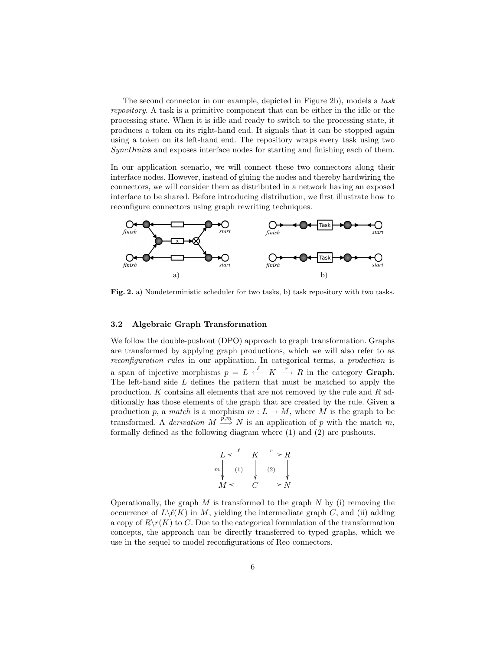The second connector in our example, depicted in Figure 2b), models a task repository. A task is a primitive component that can be either in the idle or the processing state. When it is idle and ready to switch to the processing state, it produces a token on its right-hand end. It signals that it can be stopped again using a token on its left-hand end. The repository wraps every task using two SyncDrains and exposes interface nodes for starting and finishing each of them.

In our application scenario, we will connect these two connectors along their interface nodes. However, instead of gluing the nodes and thereby hardwiring the connectors, we will consider them as distributed in a network having an exposed interface to be shared. Before introducing distribution, we first illustrate how to reconfigure connectors using graph rewriting techniques.



Fig. 2. a) Nondeterministic scheduler for two tasks, b) task repository with two tasks.

## 3.2 Algebraic Graph Transformation

We follow the double-pushout (DPO) approach to graph transformation. Graphs are transformed by applying graph productions, which we will also refer to as reconfiguration rules in our application. In categorical terms, a production is a span of injective morphisms  $p = L \stackrel{\ell}{\longleftarrow} K \stackrel{r}{\longrightarrow} R$  in the category **Graph.** The left-hand side L defines the pattern that must be matched to apply the production. K contains all elements that are not removed by the rule and  $R$  additionally has those elements of the graph that are created by the rule. Given a production p, a match is a morphism  $m: L \to M$ , where M is the graph to be transformed. A *derivation*  $M \stackrel{p,m}{\Longrightarrow} N$  is an application of p with the match m, formally defined as the following diagram where (1) and (2) are pushouts.

$$
L \xleftarrow{\ell} K \xrightarrow{r} R
$$
  
\n
$$
m \downarrow \qquad (1) \qquad (2) \qquad \downarrow
$$
  
\n
$$
M \xleftarrow{r} C \xrightarrow{r} N
$$

Operationally, the graph  $M$  is transformed to the graph  $N$  by (i) removing the occurrence of  $L\setminus \ell(K)$  in M, yielding the intermediate graph C, and (ii) adding a copy of  $R\backslash r(K)$  to C. Due to the categorical formulation of the transformation concepts, the approach can be directly transferred to typed graphs, which we use in the sequel to model reconfigurations of Reo connectors.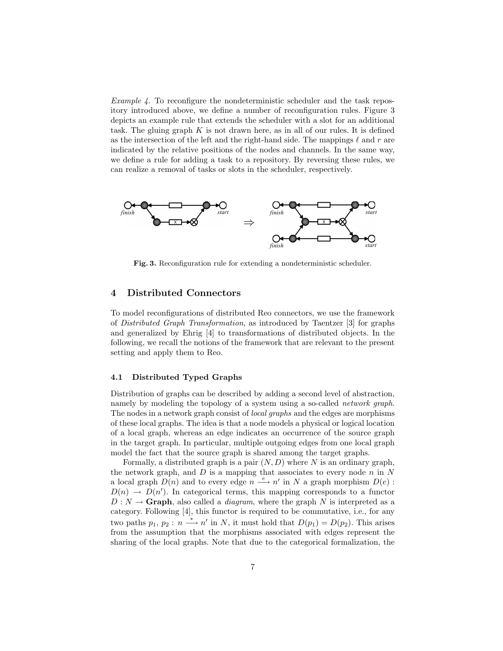Example 4. To reconfigure the nondeterministic scheduler and the task repository introduced above, we define a number of reconfiguration rules. Figure 3 depicts an example rule that extends the scheduler with a slot for an additional task. The gluing graph  $K$  is not drawn here, as in all of our rules. It is defined as the intersection of the left and the right-hand side. The mappings  $\ell$  and r are indicated by the relative positions of the nodes and channels. In the same way, we define a rule for adding a task to a repository. By reversing these rules, we can realize a removal of tasks or slots in the scheduler, respectively.



Fig. 3. Reconfiguration rule for extending a nondeterministic scheduler.

## 4 Distributed Connectors

To model reconfigurations of distributed Reo connectors, we use the framework of Distributed Graph Transformation, as introduced by Taentzer [3] for graphs and generalized by Ehrig [4] to transformations of distributed objects. In the following, we recall the notions of the framework that are relevant to the present setting and apply them to Reo.

#### 4.1 Distributed Typed Graphs

Distribution of graphs can be described by adding a second level of abstraction, namely by modeling the topology of a system using a so-called *network qraph*. The nodes in a network graph consist of *local graphs* and the edges are morphisms of these local graphs. The idea is that a node models a physical or logical location of a local graph, whereas an edge indicates an occurrence of the source graph in the target graph. In particular, multiple outgoing edges from one local graph model the fact that the source graph is shared among the target graphs.

Formally, a distributed graph is a pair  $(N, D)$  where N is an ordinary graph, the network graph, and  $D$  is a mapping that associates to every node  $n$  in  $N$ a local graph  $D(n)$  and to every edge  $n \stackrel{e}{\longrightarrow} n'$  in N a graph morphism  $D(e)$ :  $D(n) \rightarrow D(n')$ . In categorical terms, this mapping corresponds to a functor  $D: N \to \mathbf{Graph}$ , also called a *diagram*, where the graph N is interpreted as a category. Following [4], this functor is required to be commutative, i.e., for any two paths  $p_1, p_2 : n \stackrel{*}{\longrightarrow} n'$  in N, it must hold that  $D(p_1) = D(p_2)$ . This arises from the assumption that the morphisms associated with edges represent the sharing of the local graphs. Note that due to the categorical formalization, the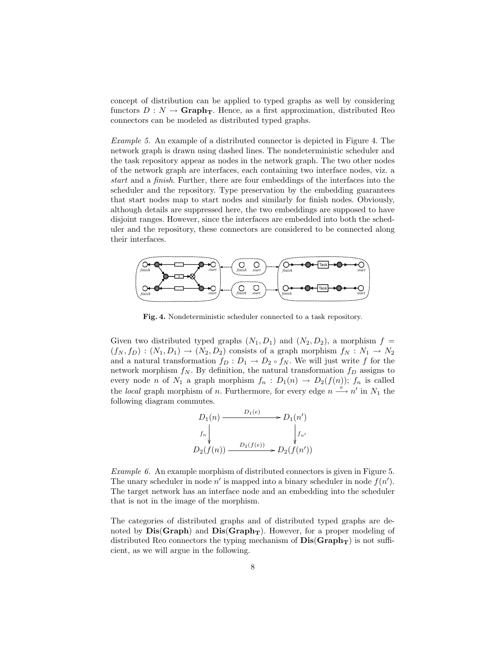concept of distribution can be applied to typed graphs as well by considering functors  $D: N \to \mathbf{Graph}_{T}$ . Hence, as a first approximation, distributed Reo connectors can be modeled as distributed typed graphs.

Example 5. An example of a distributed connector is depicted in Figure 4. The network graph is drawn using dashed lines. The nondeterministic scheduler and the task repository appear as nodes in the network graph. The two other nodes of the network graph are interfaces, each containing two interface nodes, viz. a start and a finish. Further, there are four embeddings of the interfaces into the scheduler and the repository. Type preservation by the embedding guarantees that start nodes map to start nodes and similarly for finish nodes. Obviously, although details are suppressed here, the two embeddings are supposed to have disjoint ranges. However, since the interfaces are embedded into both the scheduler and the repository, these connectors are considered to be connected along their interfaces.



Fig. 4. Nondeterministic scheduler connected to a task repository.

Given two distributed typed graphs  $(N_1, D_1)$  and  $(N_2, D_2)$ , a morphism  $f =$  $(f_N, f_D) : (N_1, D_1) \rightarrow (N_2, D_2)$  consists of a graph morphism  $f_N : N_1 \rightarrow N_2$ and a natural transformation  $f_D : D_1 \to D_2 \circ f_N$ . We will just write f for the network morphism  $f_N$ . By definition, the natural transformation  $f_D$  assigns to every node n of  $N_1$  a graph morphism  $f_n : D_1(n) \to D_2(f(n));$   $f_n$  is called the local graph morphism of n. Furthermore, for every edge  $n \stackrel{e}{\longrightarrow} n'$  in  $N_1$  the following diagram commutes.

$$
D_1(n) \xrightarrow{D_1(e)} D_1(n')
$$
  

$$
f_n \downarrow \qquad \qquad f_{n'}
$$
  

$$
D_2(f(n)) \xrightarrow{D_2(f(e))} D_2(f(n'))
$$

Example 6. An example morphism of distributed connectors is given in Figure 5. The unary scheduler in node  $n'$  is mapped into a binary scheduler in node  $f(n')$ . The target network has an interface node and an embedding into the scheduler that is not in the image of the morphism.

The categories of distributed graphs and of distributed typed graphs are denoted by  $Dis(Graph)$  and  $Dis(Graph<sub>T</sub>)$ . However, for a proper modeling of distributed Reo connectors the typing mechanism of  $\text{Dis}(\text{Graph}_{\text{T}})$  is not sufficient, as we will argue in the following.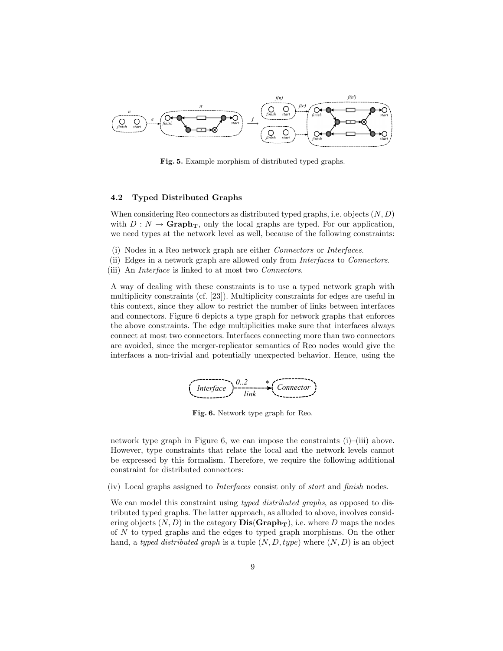

Fig. 5. Example morphism of distributed typed graphs.

## 4.2 Typed Distributed Graphs

When considering Reo connectors as distributed typed graphs, i.e. objects  $(N, D)$ with  $D: N \to \mathbf{Graph}_{T}$ , only the local graphs are typed. For our application, we need types at the network level as well, because of the following constraints:

(i) Nodes in a Reo network graph are either Connectors or Interfaces.

(ii) Edges in a network graph are allowed only from Interfaces to Connectors.

(iii) An Interface is linked to at most two Connectors.

A way of dealing with these constraints is to use a typed network graph with multiplicity constraints (cf. [23]). Multiplicity constraints for edges are useful in this context, since they allow to restrict the number of links between interfaces and connectors. Figure 6 depicts a type graph for network graphs that enforces the above constraints. The edge multiplicities make sure that interfaces always connect at most two connectors. Interfaces connecting more than two connectors are avoided, since the merger-replicator semantics of Reo nodes would give the interfaces a non-trivial and potentially unexpected behavior. Hence, using the

$$
\left(\begin{array}{c}\n\text{Interface} \\
\text{Interface}\n\end{array}\right)\n\begin{array}{c}\n0.2 \\
\text{link}\n\end{array}\n\left(\begin{array}{c}\n\text{connector} \\
\text{Connector}\n\end{array}\right)
$$

Fig. 6. Network type graph for Reo.

network type graph in Figure 6, we can impose the constraints (i)–(iii) above. However, type constraints that relate the local and the network levels cannot be expressed by this formalism. Therefore, we require the following additional constraint for distributed connectors:

(iv) Local graphs assigned to Interfaces consist only of start and finish nodes.

We can model this constraint using typed distributed graphs, as opposed to distributed typed graphs. The latter approach, as alluded to above, involves considering objects  $(N, D)$  in the category  $\text{Dis}(\text{Graph}_{\text{T}})$ , i.e. where D maps the nodes of N to typed graphs and the edges to typed graph morphisms. On the other hand, a typed distributed graph is a tuple  $(N, D, type)$  where  $(N, D)$  is an object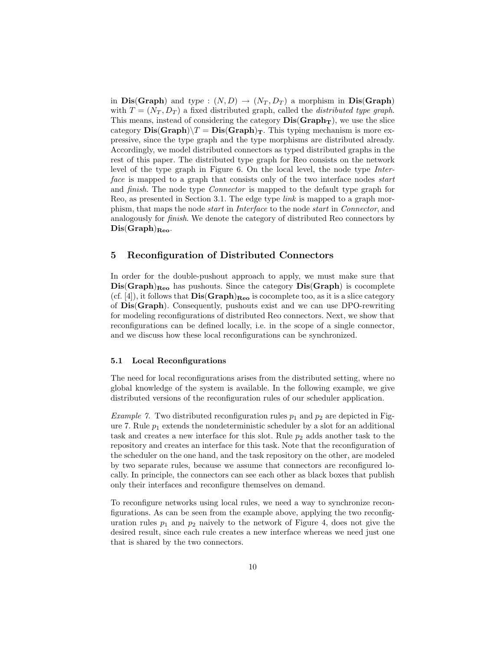in  $\text{Dis}(\text{Graph})$  and  $type: (N, D) \rightarrow (N_T, D_T)$  a morphism in  $\text{Dis}(\text{Graph})$ with  $T = (N_T, D_T)$  a fixed distributed graph, called the *distributed type graph*. This means, instead of considering the category  $\text{Dis}(\text{Graph}_{\text{T}})$ , we use the slice category  $\text{Dis}(\text{Graph})\setminus T = \text{Dis}(\text{Graph})_T$ . This typing mechanism is more expressive, since the type graph and the type morphisms are distributed already. Accordingly, we model distributed connectors as typed distributed graphs in the rest of this paper. The distributed type graph for Reo consists on the network level of the type graph in Figure 6. On the local level, the node type Interface is mapped to a graph that consists only of the two interface nodes *start* and finish. The node type Connector is mapped to the default type graph for Reo, as presented in Section 3.1. The edge type link is mapped to a graph morphism, that maps the node start in Interface to the node start in Connector, and analogously for finish. We denote the category of distributed Reo connectors by  $Dis(Graph)_{\text{Reo}}$ .

# 5 Reconfiguration of Distributed Connectors

In order for the double-pushout approach to apply, we must make sure that  $\mathrm{Dis}(\mathrm{Graph})_{\text{Reo}}$  has pushouts. Since the category  $\mathrm{Dis}(\mathrm{Graph})$  is cocomplete (cf. [4]), it follows that  $Dis(Graph)_{Reo}$  is cocomplete too, as it is a slice category of Dis(Graph). Consequently, pushouts exist and we can use DPO-rewriting for modeling reconfigurations of distributed Reo connectors. Next, we show that reconfigurations can be defined locally, i.e. in the scope of a single connector, and we discuss how these local reconfigurations can be synchronized.

## 5.1 Local Reconfigurations

The need for local reconfigurations arises from the distributed setting, where no global knowledge of the system is available. In the following example, we give distributed versions of the reconfiguration rules of our scheduler application.

*Example 7.* Two distributed reconfiguration rules  $p_1$  and  $p_2$  are depicted in Figure 7. Rule  $p_1$  extends the nondeterministic scheduler by a slot for an additional task and creates a new interface for this slot. Rule  $p_2$  adds another task to the repository and creates an interface for this task. Note that the reconfiguration of the scheduler on the one hand, and the task repository on the other, are modeled by two separate rules, because we assume that connectors are reconfigured locally. In principle, the connectors can see each other as black boxes that publish only their interfaces and reconfigure themselves on demand.

To reconfigure networks using local rules, we need a way to synchronize reconfigurations. As can be seen from the example above, applying the two reconfiguration rules  $p_1$  and  $p_2$  naively to the network of Figure 4, does not give the desired result, since each rule creates a new interface whereas we need just one that is shared by the two connectors.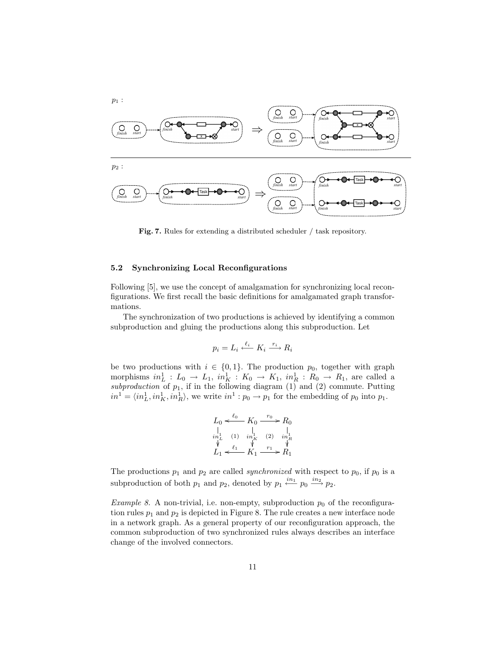

Fig. 7. Rules for extending a distributed scheduler / task repository.

#### 5.2 Synchronizing Local Reconfigurations

Following [5], we use the concept of amalgamation for synchronizing local reconfigurations. We first recall the basic definitions for amalgamated graph transformations.

The synchronization of two productions is achieved by identifying a common subproduction and gluing the productions along this subproduction. Let

$$
p_i = L_i \xleftarrow{\ell_i} K_i \xrightarrow{r_i} R_i
$$

be two productions with  $i \in \{0, 1\}$ . The production  $p_0$ , together with graph morphisms  $in_L^1: L_0 \to L_1$ ,  $in_K^1: K_0 \to K_1$ ,  $in_R^1: R_0 \to R_1$ , are called a subproduction of  $p_1$ , if in the following diagram (1) and (2) commute. Putting  $in^1 = \langle in_L^1, in_K^1, in_R^1 \rangle$ , we write  $in^1 : p_0 \to p_1$  for the embedding of  $p_0$  into  $p_1$ .

$$
L_0 \xleftarrow{\ell_0} K_0 \xrightarrow{r_0} R_0
$$
  
\n
$$
\begin{array}{ccc}\n| & | & \n\frac{1}{n_L} & \n\frac{1}{n_R} \\
\downarrow^1 & \downarrow^1 & \n\frac{1}{n_R} \\
L_1 \xleftarrow{\ell_1} K_1 \xrightarrow{r_1} R_1\n\end{array}
$$

The productions  $p_1$  and  $p_2$  are called *synchronized* with respect to  $p_0$ , if  $p_0$  is a subproduction of both  $p_1$  and  $p_2$ , denoted by  $p_1 \stackrel{in_1}{\longleftarrow} p_0 \stackrel{in_2}{\longrightarrow} p_2$ .

Example 8. A non-trivial, i.e. non-empty, subproduction  $p_0$  of the reconfiguration rules  $p_1$  and  $p_2$  is depicted in Figure 8. The rule creates a new interface node in a network graph. As a general property of our reconfiguration approach, the common subproduction of two synchronized rules always describes an interface change of the involved connectors.

11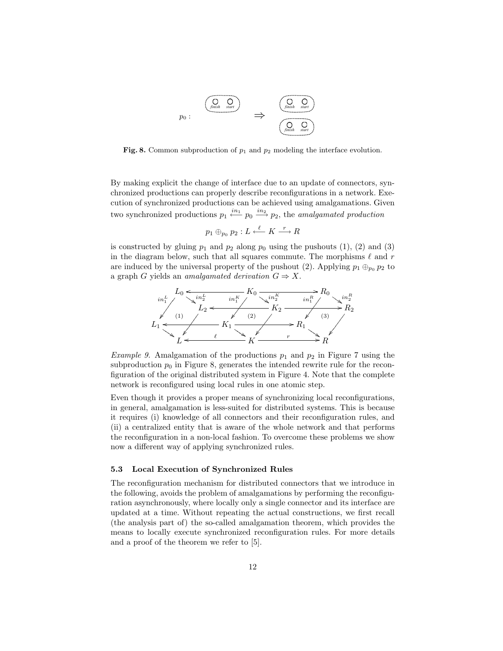

Fig. 8. Common subproduction of  $p_1$  and  $p_2$  modeling the interface evolution.

By making explicit the change of interface due to an update of connectors, synchronized productions can properly describe reconfigurations in a network. Execution of synchronized productions can be achieved using amalgamations. Given two synchronized productions  $p_1 \stackrel{in_1}{\longleftarrow} p_0 \stackrel{in_2}{\longrightarrow} p_2$ , the *amalgamated production* 

$$
p_1 \oplus_{p_0} p_2: L \stackrel{\ell}{\longleftarrow} K \stackrel{r}{\longrightarrow} R
$$

is constructed by gluing  $p_1$  and  $p_2$  along  $p_0$  using the pushouts (1), (2) and (3) in the diagram below, such that all squares commute. The morphisms  $\ell$  and r are induced by the universal property of the pushout (2). Applying  $p_1 \oplus_{p_0} p_2$  to a graph G yields an amalgamated derivation  $G \Rightarrow X$ .



*Example 9.* Amalgamation of the productions  $p_1$  and  $p_2$  in Figure 7 using the subproduction  $p_0$  in Figure 8, generates the intended rewrite rule for the reconfiguration of the original distributed system in Figure 4. Note that the complete network is reconfigured using local rules in one atomic step.

Even though it provides a proper means of synchronizing local reconfigurations, in general, amalgamation is less-suited for distributed systems. This is because it requires (i) knowledge of all connectors and their reconfiguration rules, and (ii) a centralized entity that is aware of the whole network and that performs the reconfiguration in a non-local fashion. To overcome these problems we show now a different way of applying synchronized rules.

## 5.3 Local Execution of Synchronized Rules

The reconfiguration mechanism for distributed connectors that we introduce in the following, avoids the problem of amalgamations by performing the reconfiguration asynchronously, where locally only a single connector and its interface are updated at a time. Without repeating the actual constructions, we first recall (the analysis part of) the so-called amalgamation theorem, which provides the means to locally execute synchronized reconfiguration rules. For more details and a proof of the theorem we refer to [5].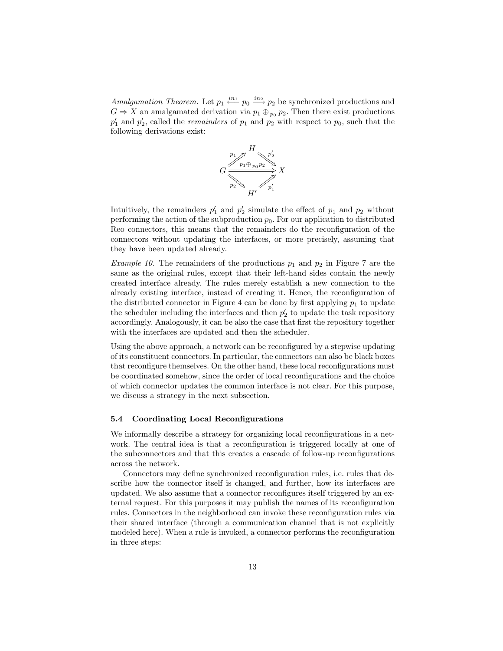Amalgamation Theorem. Let  $p_1 \stackrel{in_1}{\longleftarrow} p_0 \stackrel{in_2}{\longrightarrow} p_2$  be synchronized productions and  $G \Rightarrow X$  an amalgamated derivation via  $p_1 \oplus_{p_0} p_2$ . Then there exist productions  $p'_1$  and  $p'_2$ , called the *remainders* of  $p_1$  and  $p_2$  with respect to  $p_0$ , such that the following derivations exist:



Intuitively, the remainders  $p'_1$  and  $p'_2$  simulate the effect of  $p_1$  and  $p_2$  without performing the action of the subproduction  $p_0$ . For our application to distributed Reo connectors, this means that the remainders do the reconfiguration of the connectors without updating the interfaces, or more precisely, assuming that they have been updated already.

Example 10. The remainders of the productions  $p_1$  and  $p_2$  in Figure 7 are the same as the original rules, except that their left-hand sides contain the newly created interface already. The rules merely establish a new connection to the already existing interface, instead of creating it. Hence, the reconfiguration of the distributed connector in Figure 4 can be done by first applying  $p_1$  to update the scheduler including the interfaces and then  $p'_2$  to update the task repository accordingly. Analogously, it can be also the case that first the repository together with the interfaces are updated and then the scheduler.

Using the above approach, a network can be reconfigured by a stepwise updating of its constituent connectors. In particular, the connectors can also be black boxes that reconfigure themselves. On the other hand, these local reconfigurations must be coordinated somehow, since the order of local reconfigurations and the choice of which connector updates the common interface is not clear. For this purpose, we discuss a strategy in the next subsection.

#### 5.4 Coordinating Local Reconfigurations

We informally describe a strategy for organizing local reconfigurations in a network. The central idea is that a reconfiguration is triggered locally at one of the subconnectors and that this creates a cascade of follow-up reconfigurations across the network.

Connectors may define synchronized reconfiguration rules, i.e. rules that describe how the connector itself is changed, and further, how its interfaces are updated. We also assume that a connector reconfigures itself triggered by an external request. For this purposes it may publish the names of its reconfiguration rules. Connectors in the neighborhood can invoke these reconfiguration rules via their shared interface (through a communication channel that is not explicitly modeled here). When a rule is invoked, a connector performs the reconfiguration in three steps: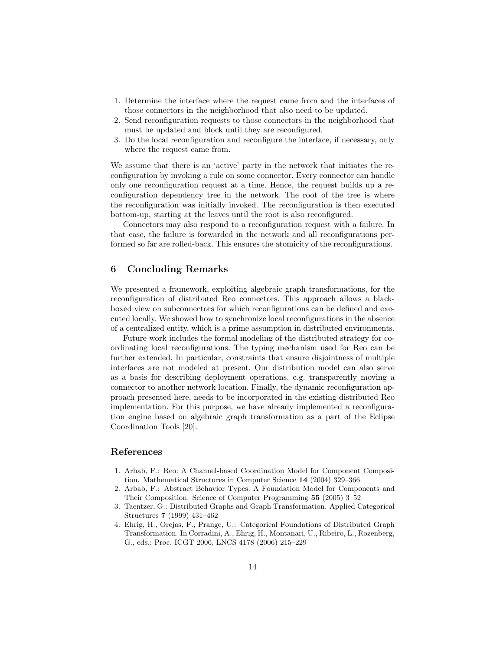- 1. Determine the interface where the request came from and the interfaces of those connectors in the neighborhood that also need to be updated.
- 2. Send reconfiguration requests to those connectors in the neighborhood that must be updated and block until they are reconfigured.
- 3. Do the local reconfiguration and reconfigure the interface, if necessary, only where the request came from.

We assume that there is an 'active' party in the network that initiates the reconfiguration by invoking a rule on some connector. Every connector can handle only one reconfiguration request at a time. Hence, the request builds up a reconfiguration dependency tree in the network. The root of the tree is where the reconfiguration was initially invoked. The reconfiguration is then executed bottom-up, starting at the leaves until the root is also reconfigured.

Connectors may also respond to a reconfiguration request with a failure. In that case, the failure is forwarded in the network and all reconfigurations performed so far are rolled-back. This ensures the atomicity of the reconfigurations.

# 6 Concluding Remarks

We presented a framework, exploiting algebraic graph transformations, for the reconfiguration of distributed Reo connectors. This approach allows a blackboxed view on subconnectors for which reconfigurations can be defined and executed locally. We showed how to synchronize local reconfigurations in the absence of a centralized entity, which is a prime assumption in distributed environments.

Future work includes the formal modeling of the distributed strategy for coordinating local reconfigurations. The typing mechanism used for Reo can be further extended. In particular, constraints that ensure disjointness of multiple interfaces are not modeled at present. Our distribution model can also serve as a basis for describing deployment operations, e.g. transparently moving a connector to another network location. Finally, the dynamic reconfiguration approach presented here, needs to be incorporated in the existing distributed Reo implementation. For this purpose, we have already implemented a reconfiguration engine based on algebraic graph transformation as a part of the Eclipse Coordination Tools [20].

# References

- 1. Arbab, F.: Reo: A Channel-based Coordination Model for Component Composition. Mathematical Structures in Computer Science 14 (2004) 329–366
- 2. Arbab, F.: Abstract Behavior Types: A Foundation Model for Components and Their Composition. Science of Computer Programming 55 (2005) 3–52
- 3. Taentzer, G.: Distributed Graphs and Graph Transformation. Applied Categorical Structures 7 (1999) 431–462
- 4. Ehrig, H., Orejas, F., Prange, U.: Categorical Foundations of Distributed Graph Transformation. In Corradini, A., Ehrig, H., Montanari, U., Ribeiro, L., Rozenberg, G., eds.: Proc. ICGT 2006, LNCS 4178 (2006) 215–229